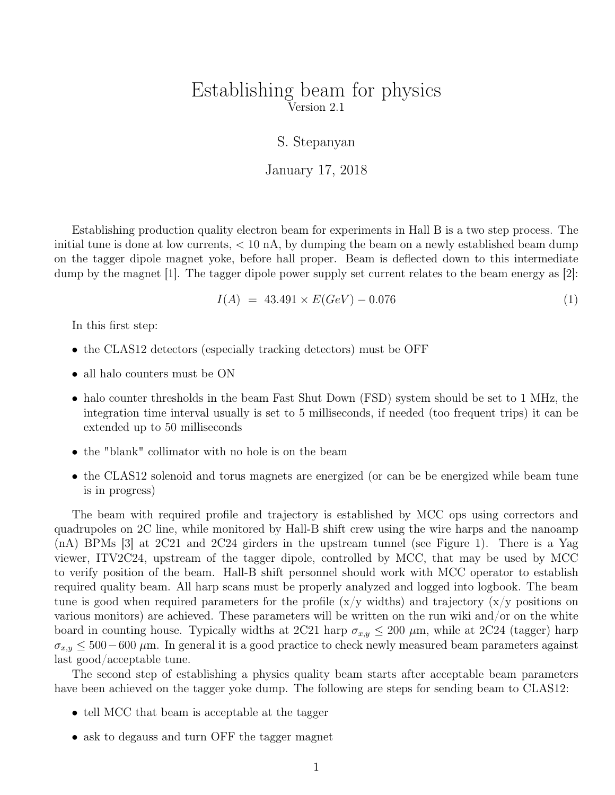## Establishing beam for physics Version 2.1

### S. Stepanyan

#### January 17, 2018

Establishing production quality electron beam for experiments in Hall B is a two step process. The initial tune is done at low currents,  $< 10 \text{ nA}$ , by dumping the beam on a newly established beam dump on the tagger dipole magnet yoke, before hall proper. Beam is deflected down to this intermediate dump by the magnet [1]. The tagger dipole power supply set current relates to the beam energy as [2]:

$$
I(A) = 43.491 \times E(GeV) - 0.076 \tag{1}
$$

In this first step:

- the CLAS12 detectors (especially tracking detectors) must be OFF
- all halo counters must be ON
- halo counter thresholds in the beam Fast Shut Down (FSD) system should be set to 1 MHz, the integration time interval usually is set to 5 milliseconds, if needed (too frequent trips) it can be extended up to 50 milliseconds
- the "blank" collimator with no hole is on the beam
- the CLAS12 solenoid and torus magnets are energized (or can be be energized while beam tune is in progress)

The beam with required profile and trajectory is established by MCC ops using correctors and quadrupoles on 2C line, while monitored by Hall-B shift crew using the wire harps and the nanoamp (nA) BPMs [3] at 2C21 and 2C24 girders in the upstream tunnel (see Figure 1). There is a Yag viewer, ITV2C24, upstream of the tagger dipole, controlled by MCC, that may be used by MCC to verify position of the beam. Hall-B shift personnel should work with MCC operator to establish required quality beam. All harp scans must be properly analyzed and logged into logbook. The beam tune is good when required parameters for the profile  $(x/y)$  widths) and trajectory  $(x/y)$  positions on various monitors) are achieved. These parameters will be written on the run wiki and/or on the white board in counting house. Typically widths at 2C21 harp  $\sigma_{x,y} \leq 200 \ \mu$ m, while at 2C24 (tagger) harp  $\sigma_{x,y} \leq 500-600 \,\mu$ m. In general it is a good practice to check newly measured beam parameters against last good/acceptable tune.

The second step of establishing a physics quality beam starts after acceptable beam parameters have been achieved on the tagger yoke dump. The following are steps for sending beam to CLAS12:

- tell MCC that beam is acceptable at the tagger
- ask to degauss and turn OFF the tagger magnet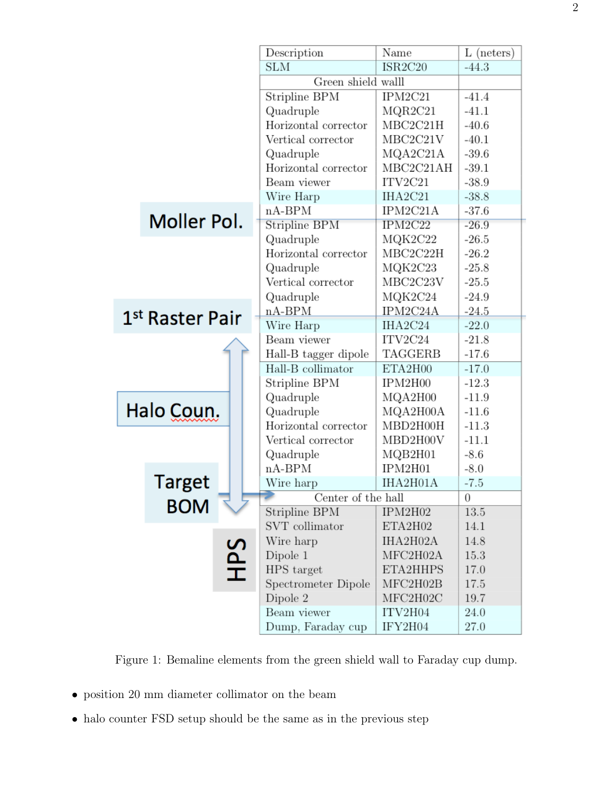|                 |               |           | Description          | Name      | $L$ (neters) |
|-----------------|---------------|-----------|----------------------|-----------|--------------|
|                 |               |           | <b>SLM</b>           | ISR2C20   | $-44.3$      |
|                 |               |           | Green shield walll   |           |              |
|                 |               |           | Stripline BPM        | IPM2C21   | $-41.4$      |
|                 |               |           | Quadruple            | MQR2C21   | $-41.1$      |
|                 |               |           | Horizontal corrector | MBC2C21H  | $-40.6$      |
|                 |               |           | Vertical corrector   | MBC2C21V  | $-40.1$      |
|                 |               |           | Quadruple            | MQA2C21A  | $-39.6$      |
|                 |               |           | Horizontal corrector | MBC2C21AH | $-39.1$      |
|                 |               |           | Beam viewer          | ITV2C21   | $-38.9$      |
|                 |               |           | Wire Harp            | IHA2C21   | $-38.8$      |
|                 |               |           | $nA-BPM$             | IPM2C21A  | $-37.6$      |
|                 | Moller Pol.   |           | Stripline BPM        | IPM2C22   | $-26.9$      |
|                 |               |           | Quadruple            | MQK2C22   | $-26.5$      |
|                 |               |           | Horizontal corrector | MBC2C22H  | $-26.2$      |
|                 |               |           | Quadruple            | MQK2C23   | $-25.8$      |
|                 |               |           | Vertical corrector   | MBC2C23V  | $-25.5$      |
|                 |               |           | Quadruple            | MQK2C24   | $-24.9$      |
| 1st Raster Pair |               | $nA-BPM$  | IPM2C24A             | $-24.5$   |              |
|                 |               | Wire Harp | IHA2C24              | $-22.0$   |              |
|                 |               |           | Beam viewer          | ITV2C24   | $-21.8$      |
|                 |               |           | Hall-B tagger dipole | TAGGERB   | $-17.6$      |
|                 |               |           | Hall-B collimator    | ETA2H00   | $-17.0$      |
|                 |               |           | Stripline BPM        | IPM2H00   | $-12.3$      |
| Halo Coun.      |               | Quadruple | MQA2H00              | $-11.9$   |              |
|                 |               | Quadruple | MQA2H00A             | $-11.6$   |              |
|                 |               |           | Horizontal corrector | MBD2H00H  | $-11.3$      |
|                 |               |           | Vertical corrector   | MBD2H00V  | $-11.1$      |
|                 |               |           | Quadruple            | MQB2H01   | $-8.6$       |
|                 |               |           | $nA-BPM$             | IPM2H01   | $-8.0$       |
|                 | <b>Target</b> |           | Wire harp            | IHA2H01A  | $-7.5$       |
|                 | <b>BOM</b>    |           | Center of the hall   |           | 0            |
|                 |               |           | Stripline BPM        | IPM2H02   | 13.5         |
|                 |               |           | SVT collimator       | ETA2H02   | 14.1         |
|                 |               |           | Wire harp            | IHA2H02A  | 14.8         |
|                 |               |           | Dipole 1             | MFC2H02A  | 15.3         |
|                 |               | SdH       | HPS target           | ETA2HHPS  | 17.0         |
|                 |               |           | Spectrometer Dipole  | MFC2H02B  | 17.5         |
|                 |               |           | Dipole 2             | MFC2H02C  | 19.7         |
|                 |               |           | Beam viewer          | ITV2H04   | 24.0         |
|                 |               |           | Dump, Faraday cup    | IFY2H04   | 27.0         |

Figure 1: Bemaline elements from the green shield wall to Faraday cup dump.

- $\bullet\,$  position 20 mm diameter collimator on the beam
- halo counter FSD setup should be the same as in the previous step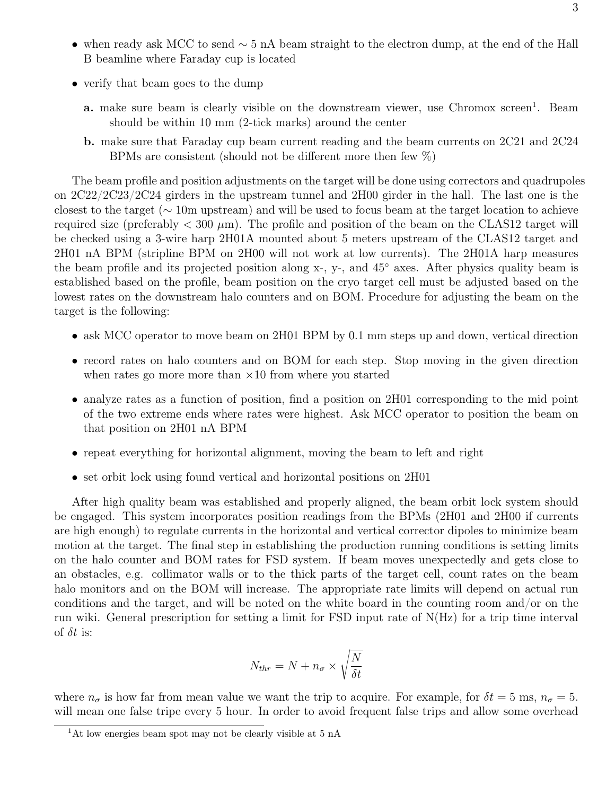- when ready ask MCC to send  $\sim$  5 nA beam straight to the electron dump, at the end of the Hall B beamline where Faraday cup is located
- verify that beam goes to the dump
	- a. make sure beam is clearly visible on the downstream viewer, use Chromox screen<sup>1</sup>. Beam should be within 10 mm (2-tick marks) around the center
	- b. make sure that Faraday cup beam current reading and the beam currents on 2C21 and 2C24 BPMs are consistent (should not be different more then few %)

The beam profile and position adjustments on the target will be done using correctors and quadrupoles on 2C22/2C23/2C24 girders in the upstream tunnel and 2H00 girder in the hall. The last one is the closest to the target (∼ 10m upstream) and will be used to focus beam at the target location to achieve required size (preferably  $< 300 \mu m$ ). The profile and position of the beam on the CLAS12 target will be checked using a 3-wire harp 2H01A mounted about 5 meters upstream of the CLAS12 target and 2H01 nA BPM (stripline BPM on 2H00 will not work at low currents). The 2H01A harp measures the beam profile and its projected position along x-, y-, and 45◦ axes. After physics quality beam is established based on the profile, beam position on the cryo target cell must be adjusted based on the lowest rates on the downstream halo counters and on BOM. Procedure for adjusting the beam on the target is the following:

- ask MCC operator to move beam on 2H01 BPM by 0.1 mm steps up and down, vertical direction
- record rates on halo counters and on BOM for each step. Stop moving in the given direction when rates go more more than  $\times 10$  from where you started
- analyze rates as a function of position, find a position on 2H01 corresponding to the mid point of the two extreme ends where rates were highest. Ask MCC operator to position the beam on that position on 2H01 nA BPM
- repeat everything for horizontal alignment, moving the beam to left and right
- set orbit lock using found vertical and horizontal positions on 2H01

After high quality beam was established and properly aligned, the beam orbit lock system should be engaged. This system incorporates position readings from the BPMs (2H01 and 2H00 if currents are high enough) to regulate currents in the horizontal and vertical corrector dipoles to minimize beam motion at the target. The final step in establishing the production running conditions is setting limits on the halo counter and BOM rates for FSD system. If beam moves unexpectedly and gets close to an obstacles, e.g. collimator walls or to the thick parts of the target cell, count rates on the beam halo monitors and on the BOM will increase. The appropriate rate limits will depend on actual run conditions and the target, and will be noted on the white board in the counting room and/or on the run wiki. General prescription for setting a limit for FSD input rate of N(Hz) for a trip time interval of  $\delta t$  is:

$$
N_{thr} = N + n_{\sigma} \times \sqrt{\frac{N}{\delta t}}
$$

where  $n_{\sigma}$  is how far from mean value we want the trip to acquire. For example, for  $\delta t = 5$  ms,  $n_{\sigma} = 5$ . will mean one false tripe every 5 hour. In order to avoid frequent false trips and allow some overhead

<sup>&</sup>lt;sup>1</sup>At low energies beam spot may not be clearly visible at 5 nA